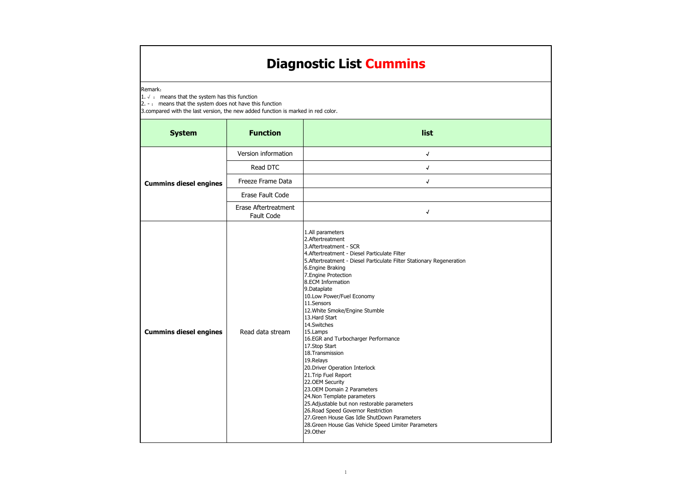| <b>System</b>                 | <b>Function</b>                                  | list                                                                                                                                                                                                                                                                                                                                                                                                                                                                                                                                                                                                                                                                                                                                                                                                                                                |
|-------------------------------|--------------------------------------------------|-----------------------------------------------------------------------------------------------------------------------------------------------------------------------------------------------------------------------------------------------------------------------------------------------------------------------------------------------------------------------------------------------------------------------------------------------------------------------------------------------------------------------------------------------------------------------------------------------------------------------------------------------------------------------------------------------------------------------------------------------------------------------------------------------------------------------------------------------------|
|                               | Version information                              | $\sqrt{ }$                                                                                                                                                                                                                                                                                                                                                                                                                                                                                                                                                                                                                                                                                                                                                                                                                                          |
|                               | Read DTC                                         | $\sqrt{ }$                                                                                                                                                                                                                                                                                                                                                                                                                                                                                                                                                                                                                                                                                                                                                                                                                                          |
| <b>Cummins diesel engines</b> | Freeze Frame Data                                | $\sqrt{ }$                                                                                                                                                                                                                                                                                                                                                                                                                                                                                                                                                                                                                                                                                                                                                                                                                                          |
|                               | Erase Fault Code                                 |                                                                                                                                                                                                                                                                                                                                                                                                                                                                                                                                                                                                                                                                                                                                                                                                                                                     |
|                               | <b>Erase Aftertreatment</b><br><b>Fault Code</b> | √                                                                                                                                                                                                                                                                                                                                                                                                                                                                                                                                                                                                                                                                                                                                                                                                                                                   |
| <b>Cummins diesel engines</b> | Read data stream                                 | 1.All parameters<br>2.Aftertreatment<br>3. Aftertreatment - SCR<br>4. Aftertreatment - Diesel Particulate Filter<br>5. Aftertreatment - Diesel Particulate Filter Stationary Regeneration<br>6. Engine Braking<br>7. Engine Protection<br>8.ECM Information<br>9.Dataplate<br>10.Low Power/Fuel Economy<br>11.Sensors<br>12. White Smoke/Engine Stumble<br>13. Hard Start<br>14.Switches<br>15.Lamps<br>16.EGR and Turbocharger Performance<br>17.Stop Start<br>18. Transmission<br>19.Relays<br>20. Driver Operation Interlock<br>21. Trip Fuel Report<br>22.OEM Security<br>23. OEM Domain 2 Parameters<br>24. Non Template parameters<br>25. Adjustable but non restorable parameters<br>26. Road Speed Governor Restriction<br>27. Green House Gas Idle ShutDown Parameters<br>28. Green House Gas Vehicle Speed Limiter Parameters<br>29.Other |

Remark:

1.  $√$  : means that the system has this function

2. - : means that the system does not have this function

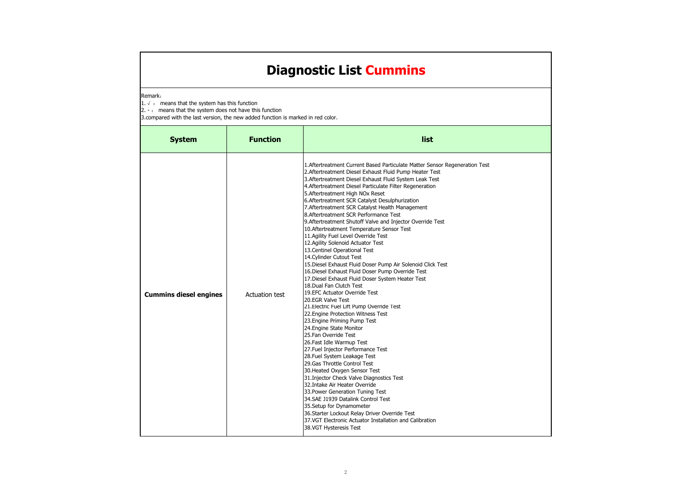#### Remark:

1.  $√$  : means that the system has this function

2. - : means that the system does not have this function

| <b>System</b>                 | <b>Function</b>       | list                                                                                                                                                                                                                                                                                                                                                                                                                                                                                                                                                                                                                                                                                                                                                                                                                                                                                                                                                                                                                                                                                                                                                                                                                                                                                                                                                                                                                                                                                                                                                                                                                                     |
|-------------------------------|-----------------------|------------------------------------------------------------------------------------------------------------------------------------------------------------------------------------------------------------------------------------------------------------------------------------------------------------------------------------------------------------------------------------------------------------------------------------------------------------------------------------------------------------------------------------------------------------------------------------------------------------------------------------------------------------------------------------------------------------------------------------------------------------------------------------------------------------------------------------------------------------------------------------------------------------------------------------------------------------------------------------------------------------------------------------------------------------------------------------------------------------------------------------------------------------------------------------------------------------------------------------------------------------------------------------------------------------------------------------------------------------------------------------------------------------------------------------------------------------------------------------------------------------------------------------------------------------------------------------------------------------------------------------------|
| <b>Cummins diesel engines</b> | <b>Actuation test</b> | 1. Aftertreatment Current Based Particulate Matter Sensor Regeneration Test<br>2. Aftertreatment Diesel Exhaust Fluid Pump Heater Test<br>3. Aftertreatment Diesel Exhaust Fluid System Leak Test<br>4.Aftertreatment Diesel Particulate Filter Regeneration<br>5. Aftertreatment High NOx Reset<br>6. Aftertreatment SCR Catalyst Desulphurization<br>7. Aftertreatment SCR Catalyst Health Management<br>8.Aftertreatment SCR Performance Test<br>9. Aftertreatment Shutoff Valve and Injector Override Test<br>10. Aftertreatment Temperature Sensor Test<br>11.Agility Fuel Level Override Test<br>12. Agility Solenoid Actuator Test<br>13. Centinel Operational Test<br>14. Cylinder Cutout Test<br>15. Diesel Exhaust Fluid Doser Pump Air Solenoid Click Test<br>16. Diesel Exhaust Fluid Doser Pump Override Test<br>17. Diesel Exhaust Fluid Doser System Heater Test<br>18. Dual Fan Clutch Test<br>19.EFC Actuator Override Test<br>20.EGR Valve Test<br>21. Electric Fuel Lift Pump Override Test<br>22. Engine Protection Witness Test<br>23. Engine Priming Pump Test<br>24. Engine State Monitor<br>25.Fan Override Test<br>26.Fast Idle Warmup Test<br>27. Fuel Injector Performance Test<br>28. Fuel System Leakage Test<br>29. Gas Throttle Control Test<br>30. Heated Oxygen Sensor Test<br>31. Injector Check Valve Diagnostics Test<br>32.Intake Air Heater Override<br>33. Power Generation Tuning Test<br>34.SAE J1939 Datalink Control Test<br>35. Setup for Dynamometer<br>36. Starter Lockout Relay Driver Override Test<br>37.VGT Electronic Actuator Installation and Calibration<br>38.VGT Hysteresis Test |

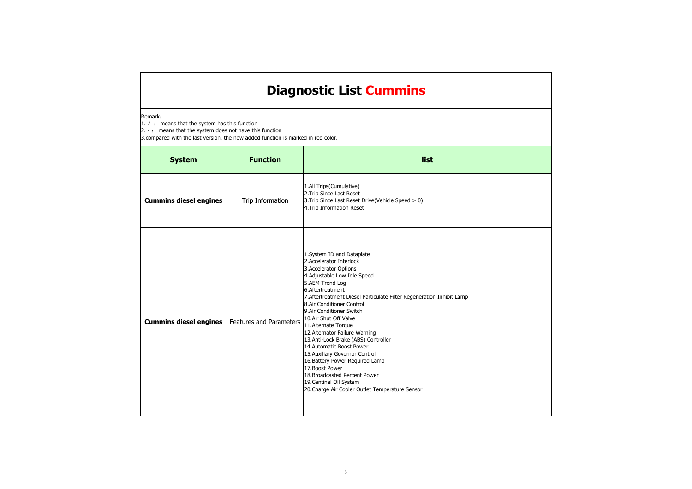Remark:

1.  $√$  : means that the system has this function

2. - : means that the system does not have this function

| <b>System</b>                 | <b>Function</b>                | list                                                                                                                                                                                                                                                                                                                                                                                                                                                                                                                                                                                                                                                 |
|-------------------------------|--------------------------------|------------------------------------------------------------------------------------------------------------------------------------------------------------------------------------------------------------------------------------------------------------------------------------------------------------------------------------------------------------------------------------------------------------------------------------------------------------------------------------------------------------------------------------------------------------------------------------------------------------------------------------------------------|
| <b>Cummins diesel engines</b> | Trip Information               | 1.All Trips(Cumulative)<br>2. Trip Since Last Reset<br>3. Trip Since Last Reset Drive(Vehicle Speed > 0)<br>4. Trip Information Reset                                                                                                                                                                                                                                                                                                                                                                                                                                                                                                                |
| <b>Cummins diesel engines</b> | <b>Features and Parameters</b> | 1.System ID and Dataplate<br>2.Accelerator Interlock<br>3. Accelerator Options<br>4. Adjustable Low Idle Speed<br>5.AEM Trend Log<br>6.Aftertreatment<br>7. Aftertreatment Diesel Particulate Filter Regeneration Inhibit Lamp<br>8.Air Conditioner Control<br>9.Air Conditioner Switch<br>10.Air Shut Off Valve<br>11. Alternate Torque<br>12. Alternator Failure Warning<br>13.Anti-Lock Brake (ABS) Controller<br>14.Automatic Boost Power<br>15. Auxiliary Governor Control<br>16. Battery Power Required Lamp<br>17. Boost Power<br>18. Broadcasted Percent Power<br>19. Centinel Oil System<br>20. Charge Air Cooler Outlet Temperature Sensor |

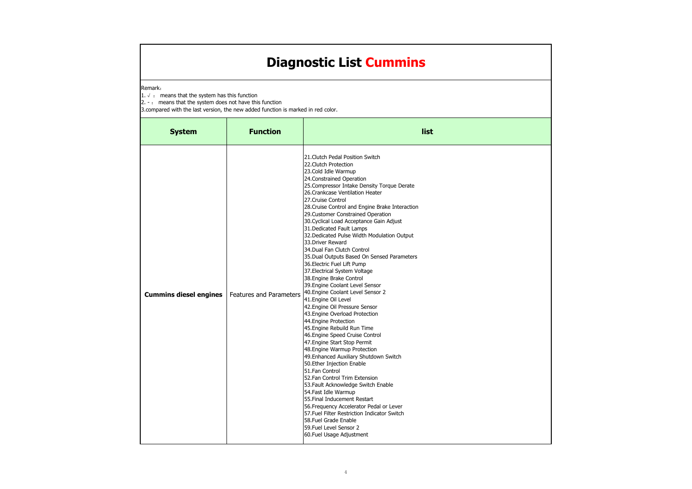Remark:

1.  $√$  : means that the system has this function

2. - : means that the system does not have this function

| <b>System</b> | <b>Function</b>                                         | list                                                                                                                                                                                                                                                                                                                                                                                                                                                                                                                                                                                                                                                                                                                                                                                                                                                                                                                                                                                                                                                                                                                                                                                                                                                                                                                                                                          |
|---------------|---------------------------------------------------------|-------------------------------------------------------------------------------------------------------------------------------------------------------------------------------------------------------------------------------------------------------------------------------------------------------------------------------------------------------------------------------------------------------------------------------------------------------------------------------------------------------------------------------------------------------------------------------------------------------------------------------------------------------------------------------------------------------------------------------------------------------------------------------------------------------------------------------------------------------------------------------------------------------------------------------------------------------------------------------------------------------------------------------------------------------------------------------------------------------------------------------------------------------------------------------------------------------------------------------------------------------------------------------------------------------------------------------------------------------------------------------|
|               | <b>Cummins diesel engines</b>   Features and Parameters | 21. Clutch Pedal Position Switch<br>22. Clutch Protection<br>23. Cold Idle Warmup<br>24. Constrained Operation<br>25. Compressor Intake Density Torque Derate<br>26. Crankcase Ventilation Heater<br>27. Cruise Control<br>28. Cruise Control and Engine Brake Interaction<br>29. Customer Constrained Operation<br>30. Cyclical Load Acceptance Gain Adjust<br>31. Dedicated Fault Lamps<br>32. Dedicated Pulse Width Modulation Output<br>33. Driver Reward<br>34.Dual Fan Clutch Control<br>35. Dual Outputs Based On Sensed Parameters<br>36. Electric Fuel Lift Pump<br>37. Electrical System Voltage<br>38. Engine Brake Control<br>39. Engine Coolant Level Sensor<br>40. Engine Coolant Level Sensor 2<br>41. Engine Oil Level<br>42. Engine Oil Pressure Sensor<br>43. Engine Overload Protection<br>44. Engine Protection<br>45. Engine Rebuild Run Time<br>46. Engine Speed Cruise Control<br>47. Engine Start Stop Permit<br>48. Engine Warmup Protection<br>49. Enhanced Auxiliary Shutdown Switch<br>50. Ether Injection Enable<br>51.Fan Control<br>52. Fan Control Trim Extension<br>53. Fault Acknowledge Switch Enable<br>54. Fast Idle Warmup<br>55. Final Inducement Restart<br>56. Frequency Accelerator Pedal or Lever<br>57. Fuel Filter Restriction Indicator Switch<br>58. Fuel Grade Enable<br>59. Fuel Level Sensor 2<br>60. Fuel Usage Adjustment |

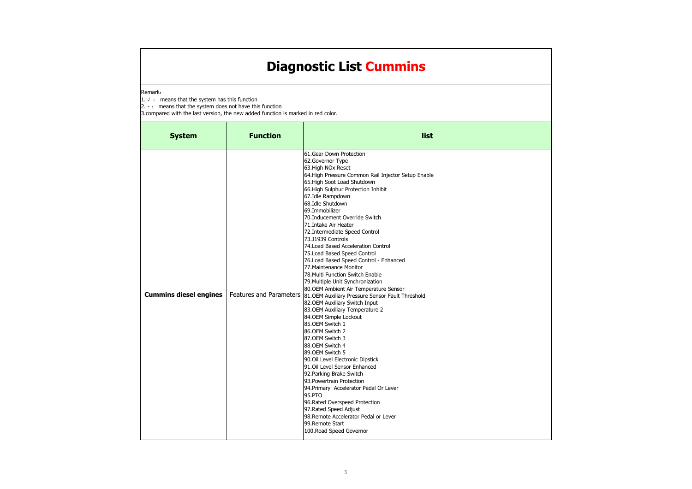Remark:

1.  $√$  : means that the system has this function

2. - : means that the system does not have this function

| <b>System</b>                 | <b>Function</b> | list                                                                                                                                                                                                                                                                                                                                                                                                                                                                                                                                                                                                                                                                                                                                                                                                                                                                                                                                                                                                                                                                                                                                                                                                                                                    |
|-------------------------------|-----------------|---------------------------------------------------------------------------------------------------------------------------------------------------------------------------------------------------------------------------------------------------------------------------------------------------------------------------------------------------------------------------------------------------------------------------------------------------------------------------------------------------------------------------------------------------------------------------------------------------------------------------------------------------------------------------------------------------------------------------------------------------------------------------------------------------------------------------------------------------------------------------------------------------------------------------------------------------------------------------------------------------------------------------------------------------------------------------------------------------------------------------------------------------------------------------------------------------------------------------------------------------------|
| <b>Cummins diesel engines</b> |                 | 61.Gear Down Protection<br>62. Governor Type<br>63. High NOx Reset<br>64. High Pressure Common Rail Injector Setup Enable<br>65. High Soot Load Shutdown<br>66. High Sulphur Protection Inhibit<br>67.Idle Rampdown<br>68.Idle Shutdown<br>69.Immobilizer<br>70.Inducement Override Switch<br>71.Intake Air Heater<br>72. Intermediate Speed Control<br>73.J1939 Controls<br>74. Load Based Acceleration Control<br>75. Load Based Speed Control<br>76. Load Based Speed Control - Enhanced<br>77. Maintenance Monitor<br>78. Multi Function Switch Enable<br>79. Multiple Unit Synchronization<br>80. OEM Ambient Air Temperature Sensor<br>Features and Parameters  81.0EM Auxiliary Pressure Sensor Fault Threshold<br>82.OEM Auxiliary Switch Input<br>83. OEM Auxiliary Temperature 2<br>84.OEM Simple Lockout<br>85.0EM Switch 1<br>86.OEM Switch 2<br>87.OEM Switch 3<br>88.0EM Switch 4<br>89.0EM Switch 5<br>90.Oil Level Electronic Dipstick<br>91.Oil Level Sensor Enhanced<br>92. Parking Brake Switch<br>93. Powertrain Protection<br>94. Primary Accelerator Pedal Or Lever<br>95.PTO<br>96. Rated Overspeed Protection<br>97. Rated Speed Adjust<br>98. Remote Accelerator Pedal or Lever<br>99.Remote Start<br>100. Road Speed Governor |

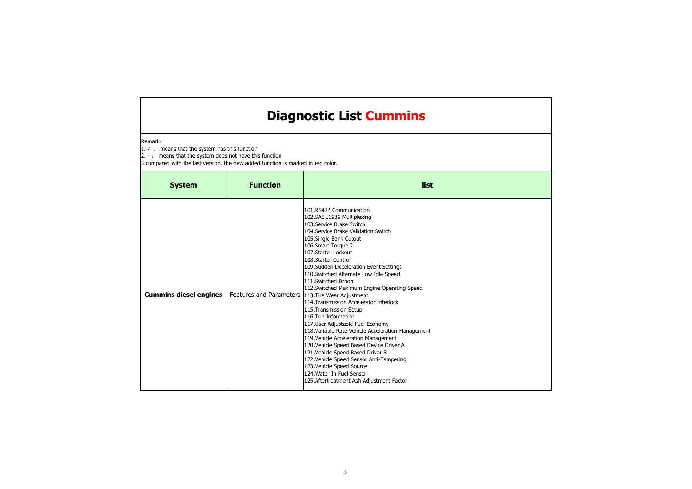#### Remark:

1.  $√$  : means that the system has this function

2. - : means that the system does not have this function

| <b>System</b>                 | <b>Function</b>                | list                                                                                                                                                                                                                                                                                                                                                                                                                                                                                                                                                                                                                                                                                                                                                                                                                                                                                   |
|-------------------------------|--------------------------------|----------------------------------------------------------------------------------------------------------------------------------------------------------------------------------------------------------------------------------------------------------------------------------------------------------------------------------------------------------------------------------------------------------------------------------------------------------------------------------------------------------------------------------------------------------------------------------------------------------------------------------------------------------------------------------------------------------------------------------------------------------------------------------------------------------------------------------------------------------------------------------------|
| <b>Cummins diesel engines</b> | <b>Features and Parameters</b> | 101.RS422 Communication<br>102.SAE J1939 Multiplexing<br>103.Service Brake Switch<br>104. Service Brake Validation Switch<br>105.Single Bank Cutout<br>106.Smart Torque 2<br>107.Starter Lockout<br>108. Starter Control<br>109. Sudden Deceleration Event Settings<br>110. Switched Alternate Low Idle Speed<br>111.Switched Droop<br>112. Switched Maximum Engine Operating Speed<br>113. Tire Wear Adjustment<br>114. Transmission Accelerator Interlock<br>115. Transmission Setup<br>116. Trip Information<br>117. User Adjustable Fuel Economy<br>118. Variable Rate Vehicle Acceleration Management<br>119. Vehicle Acceleration Management<br>120. Vehicle Speed Based Device Driver A<br>121. Vehicle Speed Based Driver B<br>122. Vehicle Speed Sensor Anti-Tampering<br>123. Vehicle Speed Source<br>124. Water In Fuel Sensor<br>125. Aftertreatment Ash Adjustment Factor |